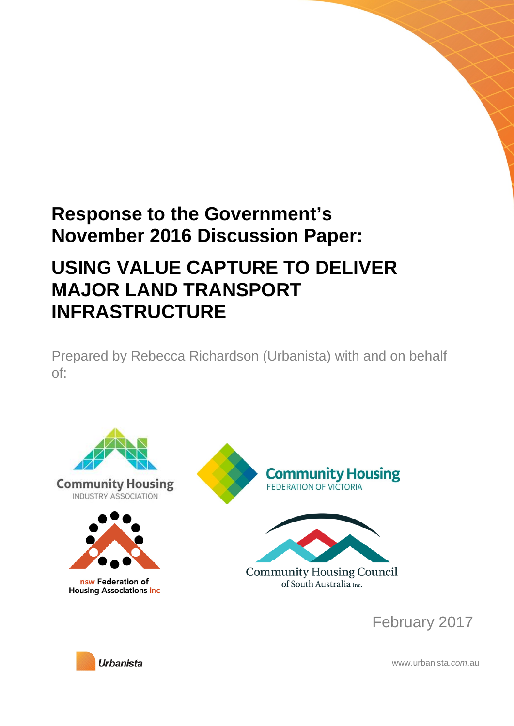# **Response to the Government's November 2016 Discussion Paper:**

# **USING VALUE CAPTURE TO DELIVER MAJOR LAND TRANSPORT INFRASTRUCTURE**

Prepared by Rebecca Richardson (Urbanista) with and on behalf of:





www.urbanista.*com*.au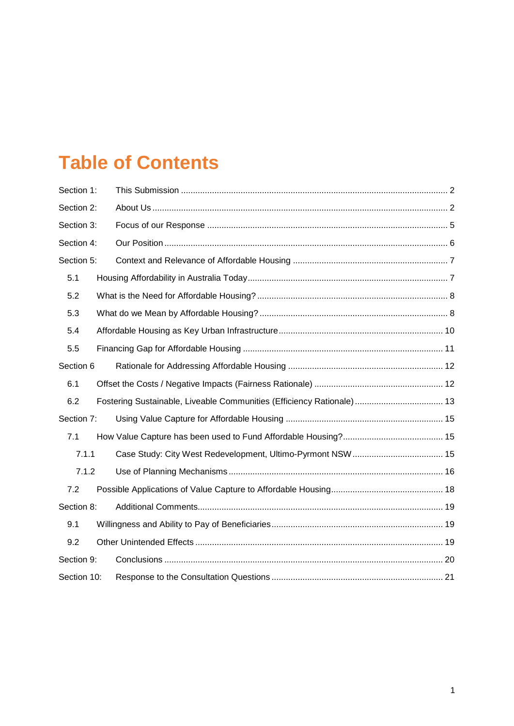# **Table of Contents**

| Section 1:  |                                                                       |  |
|-------------|-----------------------------------------------------------------------|--|
| Section 2:  |                                                                       |  |
| Section 3:  |                                                                       |  |
| Section 4:  |                                                                       |  |
| Section 5:  |                                                                       |  |
| 5.1         |                                                                       |  |
| 5.2         |                                                                       |  |
| 5.3         |                                                                       |  |
| 5.4         |                                                                       |  |
| 5.5         |                                                                       |  |
| Section 6   |                                                                       |  |
| 6.1         |                                                                       |  |
| 6.2         | Fostering Sustainable, Liveable Communities (Efficiency Rationale) 13 |  |
| Section 7:  |                                                                       |  |
| 7.1         |                                                                       |  |
| 7.1.1       |                                                                       |  |
| 7.1.2       |                                                                       |  |
| 7.2         |                                                                       |  |
| Section 8:  |                                                                       |  |
| 9.1         |                                                                       |  |
| 9.2         |                                                                       |  |
| Section 9:  |                                                                       |  |
| Section 10: |                                                                       |  |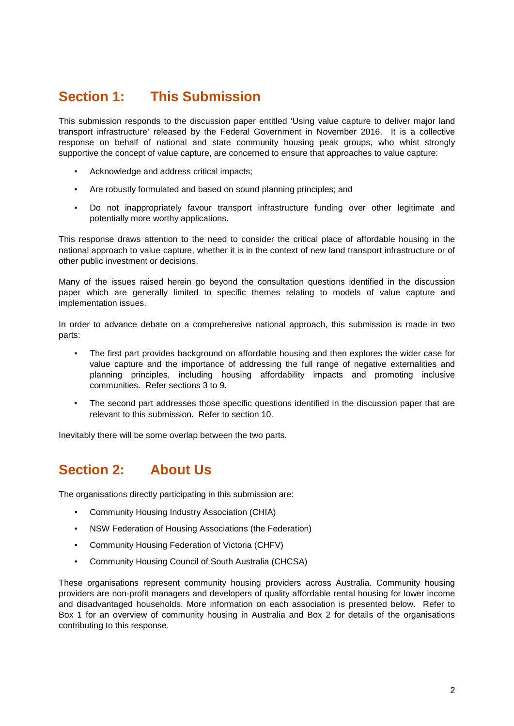# <span id="page-2-0"></span>**Section 1: This Submission**

This submission responds to the discussion paper entitled 'Using value capture to deliver major land transport infrastructure' released by the Federal Government in November 2016. It is a collective response on behalf of national and state community housing peak groups, who whist strongly supportive the concept of value capture, are concerned to ensure that approaches to value capture:

- Acknowledge and address critical impacts;
- Are robustly formulated and based on sound planning principles; and
- Do not inappropriately favour transport infrastructure funding over other legitimate and potentially more worthy applications.

This response draws attention to the need to consider the critical place of affordable housing in the national approach to value capture, whether it is in the context of new land transport infrastructure or of other public investment or decisions.

Many of the issues raised herein go beyond the consultation questions identified in the discussion paper which are generally limited to specific themes relating to models of value capture and implementation issues.

In order to advance debate on a comprehensive national approach, this submission is made in two parts:

- The first part provides background on affordable housing and then explores the wider case for value capture and the importance of addressing the full range of negative externalities and planning principles, including housing affordability impacts and promoting inclusive communities. Refer sections 3 to 9.
- The second part addresses those specific questions identified in the discussion paper that are relevant to this submission. Refer to section 10.

Inevitably there will be some overlap between the two parts.

# <span id="page-2-1"></span>**Section 2: About Us**

The organisations directly participating in this submission are:

- Community Housing Industry Association (CHIA)
- NSW Federation of Housing Associations (the Federation)
- Community Housing Federation of Victoria (CHFV)
- Community Housing Council of South Australia (CHCSA)

These organisations represent community housing providers across Australia. Community housing providers are non-profit managers and developers of quality affordable rental housing for lower income and disadvantaged households. More information on each association is presented below. Refer to Box 1 for an overview of community housing in Australia and Box 2 for details of the organisations contributing to this response.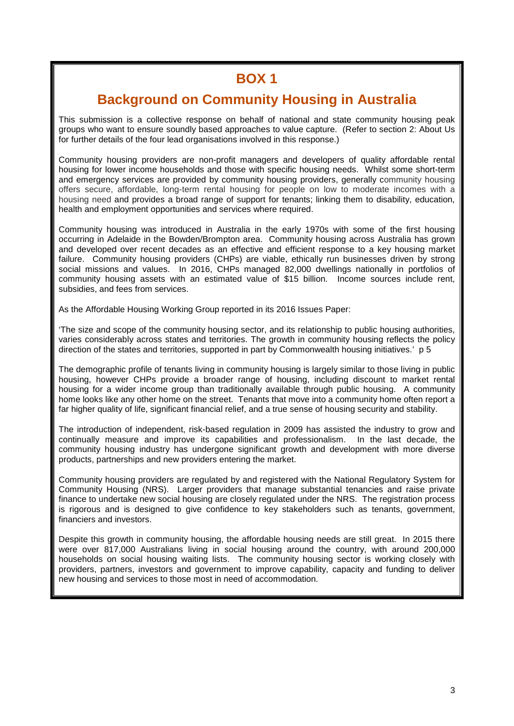# **BOX 1**

# **Background on Community Housing in Australia**

This submission is a collective response on behalf of national and state community housing peak groups who want to ensure soundly based approaches to value capture. (Refer to section 2: About Us for further details of the four lead organisations involved in this response.)

Community housing providers are non-profit managers and developers of quality affordable rental housing for lower income households and those with specific housing needs. Whilst some short-term and emergency services are provided by community housing providers, generally community housing offers secure, affordable, long-term rental housing for people on low to moderate incomes with a housing need and provides a broad range of support for tenants; linking them to disability, education, health and employment opportunities and services where required.

Community housing was introduced in Australia in the early 1970s with some of the first housing occurring in Adelaide in the Bowden/Brompton area. Community housing across Australia has grown and developed over recent decades as an effective and efficient response to a key housing market failure. Community housing providers (CHPs) are viable, ethically run businesses driven by strong social missions and values. In 2016, CHPs managed 82,000 dwellings nationally in portfolios of community housing assets with an estimated value of \$15 billion. Income sources include rent, subsidies, and fees from services.

As the Affordable Housing Working Group reported in its 2016 Issues Paper:

'The size and scope of the community housing sector, and its relationship to public housing authorities, varies considerably across states and territories. The growth in community housing reflects the policy direction of the states and territories, supported in part by Commonwealth housing initiatives.' p 5

The demographic profile of tenants living in community housing is largely similar to those living in public housing, however CHPs provide a broader range of housing, including discount to market rental housing for a wider income group than traditionally available through public housing. A community home looks like any other home on the street. Tenants that move into a community home often report a far higher quality of life, significant financial relief, and a true sense of housing security and stability.

The introduction of independent, risk-based regulation in 2009 has assisted the industry to grow and continually measure and improve its capabilities and professionalism. In the last decade, the community housing industry has undergone significant growth and development with more diverse products, partnerships and new providers entering the market.

Community housing providers are regulated by and registered with the National Regulatory System for Community Housing (NRS). Larger providers that manage substantial tenancies and raise private finance to undertake new social housing are closely regulated under the NRS. The registration process is rigorous and is designed to give confidence to key stakeholders such as tenants, government, financiers and investors.

Despite this growth in community housing, the affordable housing needs are still great. In 2015 there were over 817,000 Australians living in social housing around the country, with around 200,000 households on social housing waiting lists. The community housing sector is working closely with providers, partners, investors and government to improve capability, capacity and funding to deliver new housing and services to those most in need of accommodation.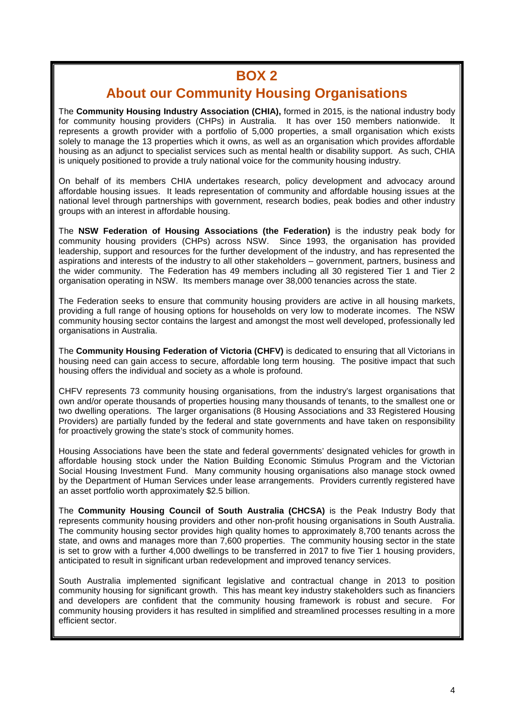# **BOX 2**

# **About our Community Housing Organisations**

The **Community Housing Industry Association (CHIA),** formed in 2015, is the national industry body for community housing providers (CHPs) in Australia. It has over 150 members nationwide. It represents a growth provider with a portfolio of 5,000 properties, a small organisation which exists solely to manage the 13 properties which it owns, as well as an organisation which provides affordable housing as an adjunct to specialist services such as mental health or disability support. As such, CHIA is uniquely positioned to provide a truly national voice for the community housing industry.

On behalf of its members CHIA undertakes research, policy development and advocacy around affordable housing issues. It leads representation of community and affordable housing issues at the national level through partnerships with government, research bodies, peak bodies and other industry groups with an interest in affordable housing.

The **NSW Federation of Housing Associations (the Federation)** is the industry peak body for community housing providers (CHPs) across NSW. Since 1993, the organisation has provided leadership, support and resources for the further development of the industry, and has represented the aspirations and interests of the industry to all other stakeholders – government, partners, business and the wider community. The Federation has 49 members including all 30 registered Tier 1 and Tier 2 organisation operating in NSW. Its members manage over 38,000 tenancies across the state.

The Federation seeks to ensure that community housing providers are active in all housing markets, providing a full range of housing options for households on very low to moderate incomes. The NSW community housing sector contains the largest and amongst the most well developed, professionally led organisations in Australia.

The **Community Housing Federation of Victoria (CHFV)** is dedicated to ensuring that all Victorians in housing need can gain access to secure, affordable long term housing. The positive impact that such housing offers the individual and society as a whole is profound.

CHFV represents 73 community housing organisations, from the industry's largest organisations that own and/or operate thousands of properties housing many thousands of tenants, to the smallest one or two dwelling operations. The larger organisations (8 Housing Associations and 33 Registered Housing Providers) are partially funded by the federal and state governments and have taken on responsibility for proactively growing the state's stock of community homes.

Housing Associations have been the state and federal governments' designated vehicles for growth in affordable housing stock under the Nation Building Economic Stimulus Program and the Victorian Social Housing Investment Fund. Many community housing organisations also manage stock owned by the Department of Human Services under lease arrangements. Providers currently registered have an asset portfolio worth approximately \$2.5 billion.

The **Community Housing Council of South Australia (CHCSA)** is the Peak Industry Body that represents community housing providers and other non-profit housing organisations in South Australia. The community housing sector provides high quality homes to approximately 8,700 tenants across the state, and owns and manages more than 7,600 properties. The community housing sector in the state is set to grow with a further 4,000 dwellings to be transferred in 2017 to five Tier 1 housing providers, anticipated to result in significant urban redevelopment and improved tenancy services.

South Australia implemented significant legislative and contractual change in 2013 to position community housing for significant growth. This has meant key industry stakeholders such as financiers and developers are confident that the community housing framework is robust and secure. For community housing providers it has resulted in simplified and streamlined processes resulting in a more efficient sector.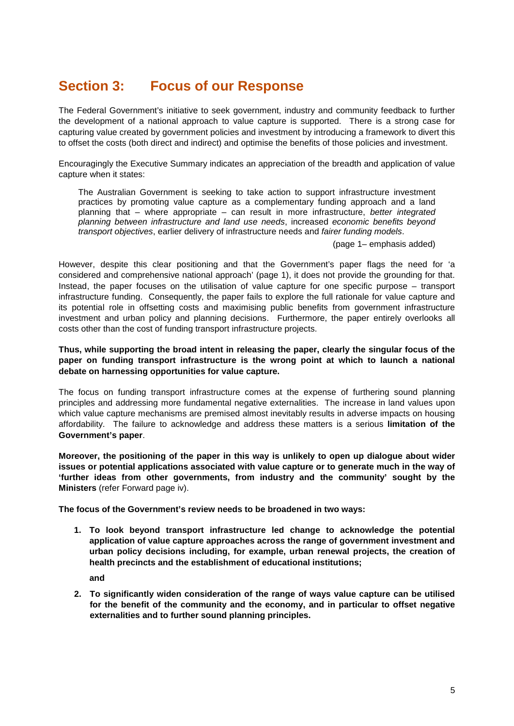# <span id="page-5-0"></span>**Section 3: Focus of our Response**

The Federal Government's initiative to seek government, industry and community feedback to further the development of a national approach to value capture is supported. There is a strong case for capturing value created by government policies and investment by introducing a framework to divert this to offset the costs (both direct and indirect) and optimise the benefits of those policies and investment.

Encouragingly the Executive Summary indicates an appreciation of the breadth and application of value capture when it states:

The Australian Government is seeking to take action to support infrastructure investment practices by promoting value capture as a complementary funding approach and a land planning that – where appropriate – can result in more infrastructure, *better integrated planning between infrastructure and land use needs*, increased *economic benefits beyond transport objectives*, earlier delivery of infrastructure needs and *fairer funding models*.

(page 1*–* emphasis added)

However, despite this clear positioning and that the Government's paper flags the need for 'a considered and comprehensive national approach' (page 1), it does not provide the grounding for that. Instead, the paper focuses on the utilisation of value capture for one specific purpose – transport infrastructure funding. Consequently, the paper fails to explore the full rationale for value capture and its potential role in offsetting costs and maximising public benefits from government infrastructure investment and urban policy and planning decisions. Furthermore, the paper entirely overlooks all costs other than the cost of funding transport infrastructure projects.

#### **Thus, while supporting the broad intent in releasing the paper, clearly the singular focus of the paper on funding transport infrastructure is the wrong point at which to launch a national debate on harnessing opportunities for value capture.**

The focus on funding transport infrastructure comes at the expense of furthering sound planning principles and addressing more fundamental negative externalities. The increase in land values upon which value capture mechanisms are premised almost inevitably results in adverse impacts on housing affordability. The failure to acknowledge and address these matters is a serious **limitation of the Government's paper**.

**Moreover, the positioning of the paper in this way is unlikely to open up dialogue about wider issues or potential applications associated with value capture or to generate much in the way of 'further ideas from other governments, from industry and the community' sought by the Ministers** (refer Forward page iv).

**The focus of the Government's review needs to be broadened in two ways:**

**1. To look beyond transport infrastructure led change to acknowledge the potential application of value capture approaches across the range of government investment and urban policy decisions including, for example, urban renewal projects, the creation of health precincts and the establishment of educational institutions;** 

**and**

**2. To significantly widen consideration of the range of ways value capture can be utilised for the benefit of the community and the economy, and in particular to offset negative externalities and to further sound planning principles.**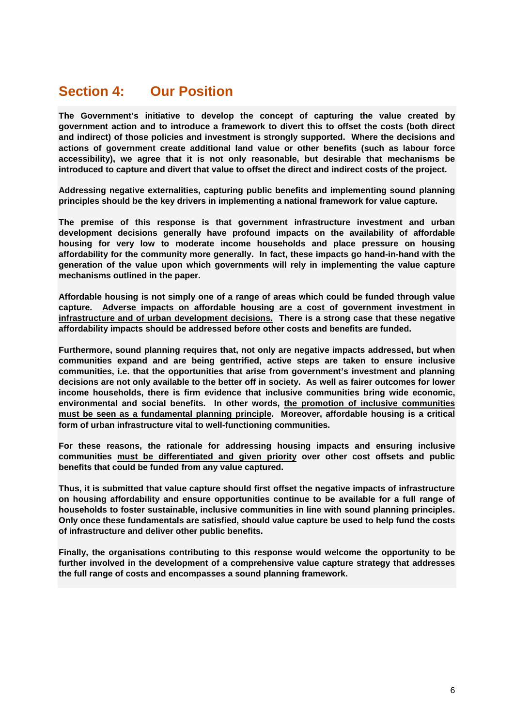# <span id="page-6-0"></span>**Section 4: Our Position**

**The Government's initiative to develop the concept of capturing the value created by government action and to introduce a framework to divert this to offset the costs (both direct and indirect) of those policies and investment is strongly supported. Where the decisions and actions of government create additional land value or other benefits (such as labour force accessibility), we agree that it is not only reasonable, but desirable that mechanisms be introduced to capture and divert that value to offset the direct and indirect costs of the project.**

**Addressing negative externalities, capturing public benefits and implementing sound planning principles should be the key drivers in implementing a national framework for value capture.**

**The premise of this response is that government infrastructure investment and urban development decisions generally have profound impacts on the availability of affordable housing for very low to moderate income households and place pressure on housing affordability for the community more generally. In fact, these impacts go hand-in-hand with the generation of the value upon which governments will rely in implementing the value capture mechanisms outlined in the paper.** 

**Affordable housing is not simply one of a range of areas which could be funded through value capture. Adverse impacts on affordable housing are a cost of government investment in infrastructure and of urban development decisions. There is a strong case that these negative affordability impacts should be addressed before other costs and benefits are funded.** 

**Furthermore, sound planning requires that, not only are negative impacts addressed, but when communities expand and are being gentrified, active steps are taken to ensure inclusive communities, i.e. that the opportunities that arise from government's investment and planning decisions are not only available to the better off in society. As well as fairer outcomes for lower income households, there is firm evidence that inclusive communities bring wide economic, environmental and social benefits. In other words, the promotion of inclusive communities must be seen as a fundamental planning principle. Moreover, affordable housing is a critical form of urban infrastructure vital to well-functioning communities.**

**For these reasons, the rationale for addressing housing impacts and ensuring inclusive communities must be differentiated and given priority over other cost offsets and public benefits that could be funded from any value captured.** 

**Thus, it is submitted that value capture should first offset the negative impacts of infrastructure on housing affordability and ensure opportunities continue to be available for a full range of households to foster sustainable, inclusive communities in line with sound planning principles. Only once these fundamentals are satisfied, should value capture be used to help fund the costs of infrastructure and deliver other public benefits.**

**Finally, the organisations contributing to this response would welcome the opportunity to be further involved in the development of a comprehensive value capture strategy that addresses the full range of costs and encompasses a sound planning framework.**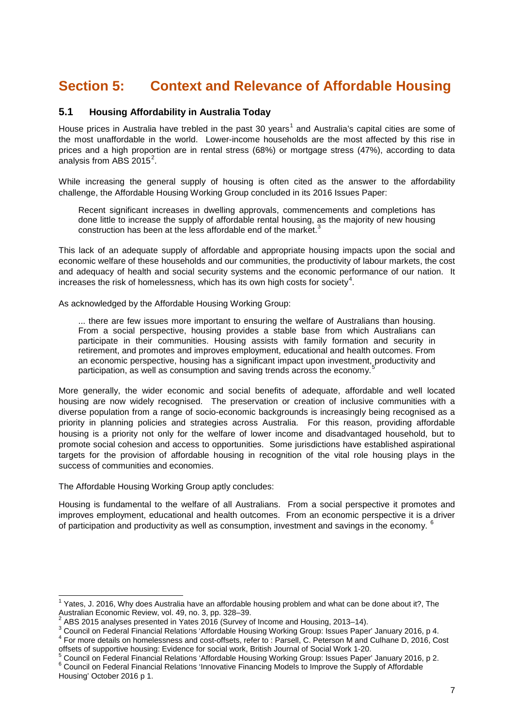# <span id="page-7-0"></span>**Section 5: Context and Relevance of Affordable Housing**

### <span id="page-7-1"></span>**5.1 Housing Affordability in Australia Today**

House prices in Australia have trebled in the past 30 years<sup>[1](#page-7-2)</sup> and Australia's capital cities are some of the most unaffordable in the world. Lower-income households are the most affected by this rise in prices and a high proportion are in rental stress (68%) or mortgage stress (47%), according to data analysis from ABS [2](#page-7-3)015 $^2$ .

While increasing the general supply of housing is often cited as the answer to the affordability challenge, the Affordable Housing Working Group concluded in its 2016 Issues Paper:

Recent significant increases in dwelling approvals, commencements and completions has done little to increase the supply of affordable rental housing, as the majority of new housing construction has been at the less affordable end of the market.<sup>[3](#page-7-4)</sup>

This lack of an adequate supply of affordable and appropriate housing impacts upon the social and economic welfare of these households and our communities, the productivity of labour markets, the cost and adequacy of health and social security systems and the economic performance of our nation. It increases the risk of homelessness, which has its own high costs for society $^4$  $^4$ .

As acknowledged by the Affordable Housing Working Group:

... there are few issues more important to ensuring the welfare of Australians than housing. From a social perspective, housing provides a stable base from which Australians can participate in their communities. Housing assists with family formation and security in retirement, and promotes and improves employment, educational and health outcomes. From an economic perspective, housing has a significant impact upon investment, productivity and participation, as well as consumption and saving trends across the economy.

More generally, the wider economic and social benefits of adequate, affordable and well located housing are now widely recognised. The preservation or creation of inclusive communities with a diverse population from a range of socio-economic backgrounds is increasingly being recognised as a priority in planning policies and strategies across Australia. For this reason, providing affordable housing is a priority not only for the welfare of lower income and disadvantaged household, but to promote social cohesion and access to opportunities. Some jurisdictions have established aspirational targets for the provision of affordable housing in recognition of the vital role housing plays in the success of communities and economies.

The Affordable Housing Working Group aptly concludes:

Housing is fundamental to the welfare of all Australians. From a social perspective it promotes and improves employment, educational and health outcomes. From an economic perspective it is a driver of participation and productivity as well as consumption, investment and savings in the economy.  $6$ 

<span id="page-7-2"></span><sup>&</sup>lt;sup>1</sup> Yates, J. 2016, Why does Australia have an affordable housing problem and what can be done about it?, The Australian Economic Review, vol. 49, no. 3, pp. 328–39.

<span id="page-7-4"></span><span id="page-7-3"></span><sup>&</sup>lt;sup>2</sup> ABS 2015 analyses presented in Yates 2016 (Survey of Income and Housing, 2013–14).<br><sup>3</sup> Council on Federal Financial Relations 'Affordable Housing Working Group: Issues Paper' January 2016, p 4.<br><sup>4</sup> For more details on

<span id="page-7-5"></span>

<span id="page-7-6"></span><sup>&</sup>lt;sup>5</sup> Council on Federal Financial Relations 'Affordable Housing Working Group: Issues Paper' January 2016, p 2.<br><sup>6</sup> Council on Federal Financial Relations 'Innovative Financing Models to Improve the Supply of Affordable

<span id="page-7-7"></span>Housing' October 2016 p 1.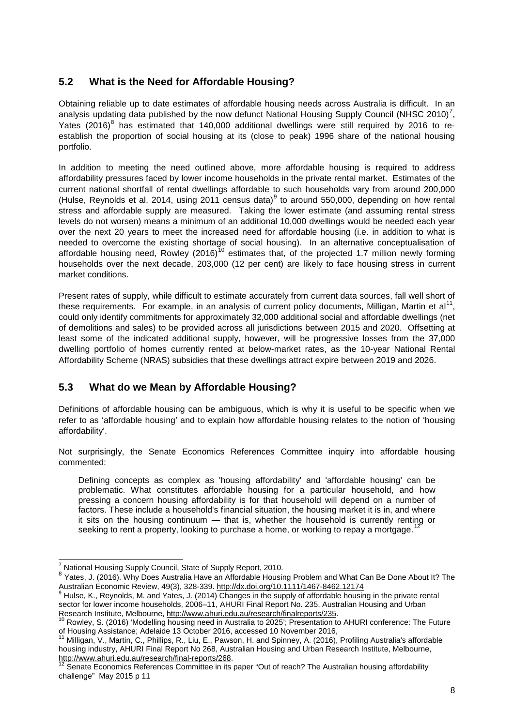# <span id="page-8-0"></span>**5.2 What is the Need for Affordable Housing?**

Obtaining reliable up to date estimates of affordable housing needs across Australia is difficult. In an analysis updating data published by the now defunct National Housing Supply Council (NHSC 2010)<sup>[7](#page-8-2)</sup>, Yates (2016) $8$  has estimated that 140,000 additional dwellings were still required by 2016 to reestablish the proportion of social housing at its (close to peak) 1996 share of the national housing portfolio.

In addition to meeting the need outlined above, more affordable housing is required to address affordability pressures faced by lower income households in the private rental market. Estimates of the current national shortfall of rental dwellings affordable to such households vary from around 200,000 (Hulse, Reynolds et al. 2014, using 2011 census data) $<sup>9</sup>$  $<sup>9</sup>$  $<sup>9</sup>$  to around 550,000, depending on how rental</sup> stress and affordable supply are measured. Taking the lower estimate (and assuming rental stress levels do not worsen) means a minimum of an additional 10,000 dwellings would be needed each year over the next 20 years to meet the increased need for affordable housing (i.e. in addition to what is needed to overcome the existing shortage of social housing). In an alternative conceptualisation of affordable housing need, Rowley (2016)<sup>[10](#page-8-5)</sup> estimates that, of the projected 1.7 million newly forming households over the next decade, 203,000 (12 per cent) are likely to face housing stress in current market conditions.

Present rates of supply, while difficult to estimate accurately from current data sources, fall well short of these requirements. For example, in an analysis of current policy documents, Milligan, Martin et al<sup>[11](#page-8-6)</sup>, could only identify commitments for approximately 32,000 additional social and affordable dwellings (net of demolitions and sales) to be provided across all jurisdictions between 2015 and 2020. Offsetting at least some of the indicated additional supply, however, will be progressive losses from the 37,000 dwelling portfolio of homes currently rented at below-market rates, as the 10-year National Rental Affordability Scheme (NRAS) subsidies that these dwellings attract expire between 2019 and 2026.

# <span id="page-8-1"></span>**5.3 What do we Mean by Affordable Housing?**

Definitions of affordable housing can be ambiguous, which is why it is useful to be specific when we refer to as 'affordable housing' and to explain how affordable housing relates to the notion of 'housing affordability'.

Not surprisingly, the Senate Economics References Committee inquiry into affordable housing commented:

Defining concepts as complex as 'housing affordability' and 'affordable housing' can be problematic. What constitutes affordable housing for a particular household, and how pressing a concern housing affordability is for that household will depend on a number of factors. These include a household's financial situation, the housing market it is in, and where it sits on the housing continuum  $-$  that is, whether the household is currently renting or seeking to rent a property, looking to purchase a home, or working to repay a mortgage.

National Housing Supply Council, State of Supply Report, 2010.

<span id="page-8-3"></span><span id="page-8-2"></span><sup>&</sup>lt;sup>8</sup> Yates, J. (2016). Why Does Australia Have an Affordable Housing Problem and What Can Be Done About It? The Australian Economic Review, 49(3), 328-339.<http://dx.doi.org/10.1111/1467-8462.12174><br><sup>9</sup> Hulse, K., Reynolds, M. and Yates, J. (2014) Changes in the supply of affordable housing in the private rental

<span id="page-8-4"></span>sector for lower income households, 2006–11, AHURI Final Report No. 235, Australian Housing and Urban<br>Research Institute, Melbourne, http://www.ahuri.edu.au/research/finalreports/235.

<span id="page-8-5"></span><sup>&</sup>lt;sup>10</sup> Rowley, S. (2016) 'Modelling housing need in Australia to 2025'; Presentation to AHURI conference: The Future of Housing Assistance; Adelaide 13 October 2016, accessed 10 November 2016,

<span id="page-8-6"></span>Milligan, V., Martin, C., Phillips, R., Liu, E., Pawson, H. and Spinney, A. (2016), Profiling Australia's affordable housing industry, AHURI Final Report No 268, Australian Housing and Urban Research Institute, Melbourne, http://www.ahuri.edu.au/research/final-reports/268.

<span id="page-8-7"></span>Senate Economics References Committee in its paper "Out of reach? The Australian housing affordability challenge" May 2015 p 11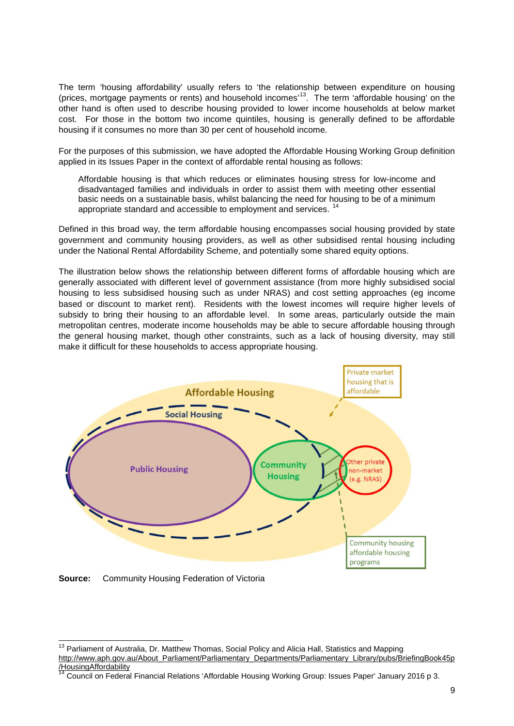The term 'housing affordability' usually refers to 'the relationship between expenditure on housing (prices, mortgage payments or rents) and household incomes<sup>13</sup>. The term 'affordable housing' on the other hand is often used to describe housing provided to lower income households at below market cost. For those in the bottom two income quintiles, housing is generally defined to be affordable housing if it consumes no more than 30 per cent of household income.

For the purposes of this submission, we have adopted the Affordable Housing Working Group definition applied in its Issues Paper in the context of affordable rental housing as follows:

Affordable housing is that which reduces or eliminates housing stress for low-income and disadvantaged families and individuals in order to assist them with meeting other essential basic needs on a sustainable basis, whilst balancing the need for housing to be of a minimum appropriate standard and accessible to employment and services.

Defined in this broad way, the term affordable housing encompasses social housing provided by state government and community housing providers, as well as other subsidised rental housing including under the National Rental Affordability Scheme, and potentially some shared equity options.

The illustration below shows the relationship between different forms of affordable housing which are generally associated with different level of government assistance (from more highly subsidised social housing to less subsidised housing such as under NRAS) and cost setting approaches (eg income based or discount to market rent). Residents with the lowest incomes will require higher levels of subsidy to bring their housing to an affordable level. In some areas, particularly outside the main metropolitan centres, moderate income households may be able to secure affordable housing through the general housing market, though other constraints, such as a lack of housing diversity, may still make it difficult for these households to access appropriate housing.



**Source:** Community Housing Federation of Victoria

<span id="page-9-0"></span><sup>&</sup>lt;sup>13</sup> Parliament of Australia, Dr. Matthew Thomas, Social Policy and Alicia Hall, Statistics and Mapping [http://www.aph.gov.au/About\\_Parliament/Parliamentary\\_Departments/Parliamentary\\_Library/pubs/BriefingBook45p](http://www.aph.gov.au/About_Parliament/Parliamentary_Departments/Parliamentary_Library/pubs/BriefingBook45p/HousingAffordability) [/HousingAffordability](http://www.aph.gov.au/About_Parliament/Parliamentary_Departments/Parliamentary_Library/pubs/BriefingBook45p/HousingAffordability)

<span id="page-9-1"></span><sup>14</sup> Council on Federal Financial Relations 'Affordable Housing Working Group: Issues Paper' January 2016 p 3.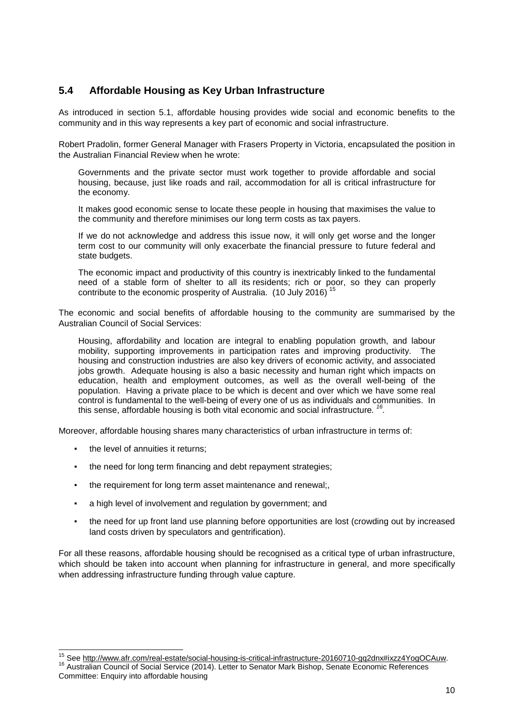# <span id="page-10-0"></span>**5.4 Affordable Housing as Key Urban Infrastructure**

As introduced in section 5.1, affordable housing provides wide social and economic benefits to the community and in this way represents a key part of economic and social infrastructure.

Robert Pradolin, former General Manager with Frasers Property in Victoria, encapsulated the position in the Australian Financial Review when he wrote:

Governments and the private sector must work together to provide affordable and social housing, because, just like roads and rail, accommodation for all is critical infrastructure for the economy.

It makes good economic sense to locate these people in housing that maximises the value to the community and therefore minimises our long term costs as tax payers.

If we do not acknowledge and address this issue now, it will only get worse and the longer term cost to our community will only exacerbate the financial pressure to future federal and state budgets.

The economic impact and productivity of this country is inextricably linked to the fundamental need of a stable form of shelter to all its residents; rich or poor, so they can properly contribute to the economic prosperity of Australia. (10 July 2016)

The economic and social benefits of affordable housing to the community are summarised by the Australian Council of Social Services:

Housing, affordability and location are integral to enabling population growth, and labour mobility, supporting improvements in participation rates and improving productivity. The housing and construction industries are also key drivers of economic activity, and associated jobs growth. Adequate housing is also a basic necessity and human right which impacts on education, health and employment outcomes, as well as the overall well-being of the population. Having a private place to be which is decent and over which we have some real control is fundamental to the well-being of every one of us as individuals and communities. In this sense, affordable housing is both vital economic and social infrastructure*. [16](#page-10-2).*

Moreover, affordable housing shares many characteristics of urban infrastructure in terms of:

- the level of annuities it returns;
- the need for long term financing and debt repayment strategies;
- the requirement for long term asset maintenance and renewal;,
- a high level of involvement and regulation by government; and
- the need for up front land use planning before opportunities are lost (crowding out by increased land costs driven by speculators and gentrification).

For all these reasons, affordable housing should be recognised as a critical type of urban infrastructure, which should be taken into account when planning for infrastructure in general, and more specifically when addressing infrastructure funding through value capture.

<span id="page-10-1"></span><sup>&</sup>lt;sup>15</sup> See [http://www.afr.com/real-estate/social-housing-is-critical-infrastructure-20160710-gq2dnx#ixzz4YogOCAuw.](http://www.afr.com/real-estate/social-housing-is-critical-infrastructure-20160710-gq2dnx#ixzz4YogOCAuw)<br><sup>16</sup> Australian Council of Social Service (2014). Letter to Senator Mark Bishop, Senate Economic References

<span id="page-10-2"></span>Committee: Enquiry into affordable housing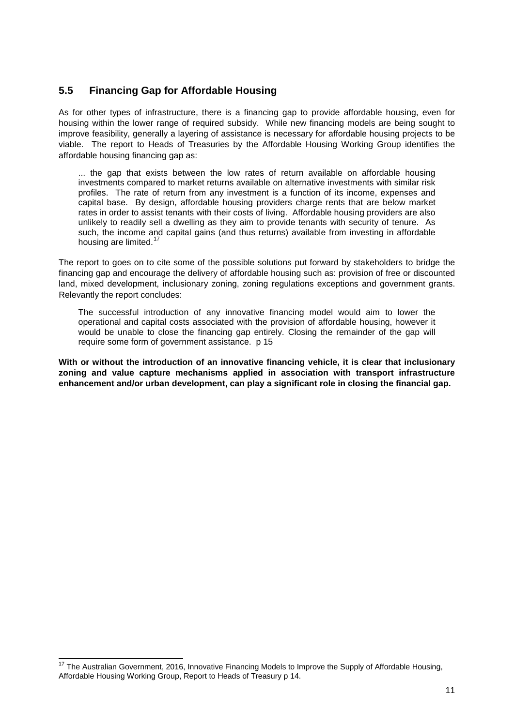# <span id="page-11-0"></span>**5.5 Financing Gap for Affordable Housing**

As for other types of infrastructure, there is a financing gap to provide affordable housing, even for housing within the lower range of required subsidy. While new financing models are being sought to improve feasibility, generally a layering of assistance is necessary for affordable housing projects to be viable. The report to Heads of Treasuries by the Affordable Housing Working Group identifies the affordable housing financing gap as:

... the gap that exists between the low rates of return available on affordable housing investments compared to market returns available on alternative investments with similar risk profiles. The rate of return from any investment is a function of its income, expenses and capital base. By design, affordable housing providers charge rents that are below market rates in order to assist tenants with their costs of living. Affordable housing providers are also unlikely to readily sell a dwelling as they aim to provide tenants with security of tenure. As such, the income and capital gains (and thus returns) available from investing in affordable housing are limited.<sup>[17](#page-11-1)</sup>

The report to goes on to cite some of the possible solutions put forward by stakeholders to bridge the financing gap and encourage the delivery of affordable housing such as: provision of free or discounted land, mixed development, inclusionary zoning, zoning regulations exceptions and government grants. Relevantly the report concludes:

The successful introduction of any innovative financing model would aim to lower the operational and capital costs associated with the provision of affordable housing, however it would be unable to close the financing gap entirely. Closing the remainder of the gap will require some form of government assistance. p 15

**With or without the introduction of an innovative financing vehicle, it is clear that inclusionary zoning and value capture mechanisms applied in association with transport infrastructure enhancement and/or urban development, can play a significant role in closing the financial gap.**

<span id="page-11-1"></span><sup>&</sup>lt;sup>17</sup> The Australian Government, 2016, Innovative Financing Models to Improve the Supply of Affordable Housing, Affordable Housing Working Group, Report to Heads of Treasury p 14.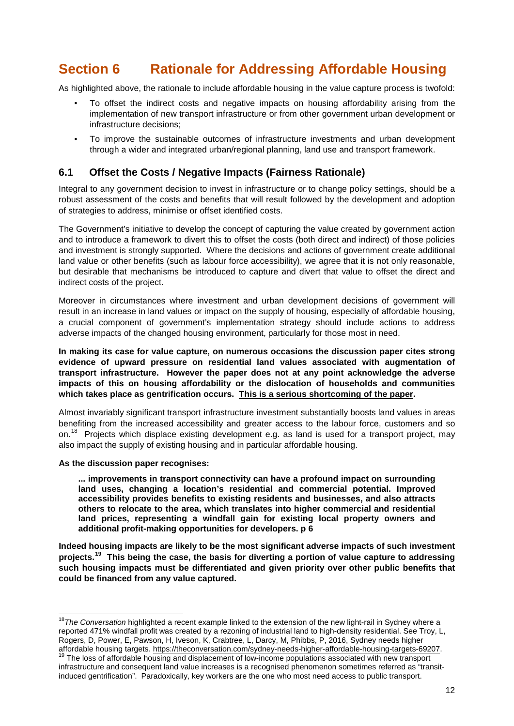# <span id="page-12-0"></span>**Section 6 Rationale for Addressing Affordable Housing**

As highlighted above, the rationale to include affordable housing in the value capture process is twofold:

- To offset the indirect costs and negative impacts on housing affordability arising from the implementation of new transport infrastructure or from other government urban development or infrastructure decisions;
- To improve the sustainable outcomes of infrastructure investments and urban development through a wider and integrated urban/regional planning, land use and transport framework.

# <span id="page-12-1"></span>**6.1 Offset the Costs / Negative Impacts (Fairness Rationale)**

Integral to any government decision to invest in infrastructure or to change policy settings, should be a robust assessment of the costs and benefits that will result followed by the development and adoption of strategies to address, minimise or offset identified costs.

The Government's initiative to develop the concept of capturing the value created by government action and to introduce a framework to divert this to offset the costs (both direct and indirect) of those policies and investment is strongly supported. Where the decisions and actions of government create additional land value or other benefits (such as labour force accessibility), we agree that it is not only reasonable, but desirable that mechanisms be introduced to capture and divert that value to offset the direct and indirect costs of the project.

Moreover in circumstances where investment and urban development decisions of government will result in an increase in land values or impact on the supply of housing, especially of affordable housing, a crucial component of government's implementation strategy should include actions to address adverse impacts of the changed housing environment, particularly for those most in need.

**In making its case for value capture, on numerous occasions the discussion paper cites strong evidence of upward pressure on residential land values associated with augmentation of transport infrastructure. However the paper does not at any point acknowledge the adverse impacts of this on housing affordability or the dislocation of households and communities which takes place as gentrification occurs. This is a serious shortcoming of the paper.** 

Almost invariably significant transport infrastructure investment substantially boosts land values in areas benefiting from the increased accessibility and greater access to the labour force, customers and so on.<sup>[18](#page-12-2)</sup> Projects which displace existing development e.g. as land is used for a transport project, may also impact the supply of existing housing and in particular affordable housing.

#### **As the discussion paper recognises:**

**... improvements in transport connectivity can have a profound impact on surrounding land uses, changing a location's residential and commercial potential. Improved accessibility provides benefits to existing residents and businesses, and also attracts others to relocate to the area, which translates into higher commercial and residential land prices, representing a windfall gain for existing local property owners and additional profit-making opportunities for developers. p 6**

**Indeed housing impacts are likely to be the most significant adverse impacts of such investment projects.[19](#page-12-3) This being the case, the basis for diverting a portion of value capture to addressing such housing impacts must be differentiated and given priority over other public benefits that could be financed from any value captured.**

<span id="page-12-2"></span> <sup>18</sup>*The Conversation* highlighted a recent example linked to the extension of the new light-rail in Sydney where a reported 471% windfall profit was created by a rezoning of industrial land to high-density residential. See Troy, L, Rogers, D, Power, E, Pawson, H, Iveson, K, Crabtree, L, Darcy, M, Phibbs, P, 2016, Sydney needs higher affordable housing targets. [https://theconversation.com/sydney-needs-higher-affordable-housing-targets-69207.](https://theconversation.com/sydney-needs-higher-affordable-housing-targets-69207)<br><sup>19</sup> The loss of affordable housing and displacement of low-income populations associated with new transport

<span id="page-12-3"></span>infrastructure and consequent land value increases is a recognised phenomenon sometimes referred as "transitinduced gentrification". Paradoxically, key workers are the one who most need access to public transport.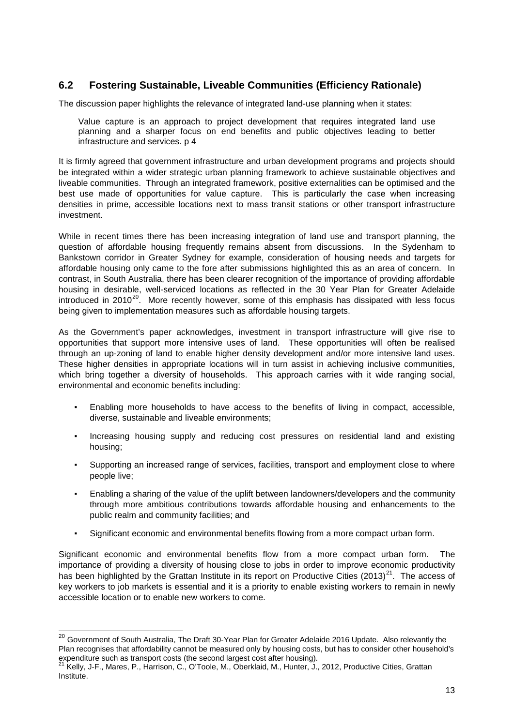# <span id="page-13-0"></span>**6.2 Fostering Sustainable, Liveable Communities (Efficiency Rationale)**

The discussion paper highlights the relevance of integrated land-use planning when it states:

Value capture is an approach to project development that requires integrated land use planning and a sharper focus on end benefits and public objectives leading to better infrastructure and services. p 4

It is firmly agreed that government infrastructure and urban development programs and projects should be integrated within a wider strategic urban planning framework to achieve sustainable objectives and liveable communities. Through an integrated framework, positive externalities can be optimised and the best use made of opportunities for value capture. This is particularly the case when increasing densities in prime, accessible locations next to mass transit stations or other transport infrastructure investment.

While in recent times there has been increasing integration of land use and transport planning, the question of affordable housing frequently remains absent from discussions. In the Sydenham to Bankstown corridor in Greater Sydney for example, consideration of housing needs and targets for affordable housing only came to the fore after submissions highlighted this as an area of concern. In contrast, in South Australia, there has been clearer recognition of the importance of providing affordable housing in desirable, well-serviced locations as reflected in the 30 Year Plan for Greater Adelaide introduced in 2010 $^{20}$ . More recently however, some of this emphasis has dissipated with less focus being given to implementation measures such as affordable housing targets.

As the Government's paper acknowledges, investment in transport infrastructure will give rise to opportunities that support more intensive uses of land. These opportunities will often be realised through an up-zoning of land to enable higher density development and/or more intensive land uses. These higher densities in appropriate locations will in turn assist in achieving inclusive communities, which bring together a diversity of households. This approach carries with it wide ranging social, environmental and economic benefits including:

- Enabling more households to have access to the benefits of living in compact, accessible, diverse, sustainable and liveable environments;
- Increasing housing supply and reducing cost pressures on residential land and existing housing;
- Supporting an increased range of services, facilities, transport and employment close to where people live;
- Enabling a sharing of the value of the uplift between landowners/developers and the community through more ambitious contributions towards affordable housing and enhancements to the public realm and community facilities; and
- Significant economic and environmental benefits flowing from a more compact urban form.

Significant economic and environmental benefits flow from a more compact urban form. The importance of providing a diversity of housing close to jobs in order to improve economic productivity has been highlighted by the Grattan Institute in its report on Productive Cities (2013)<sup>21</sup>. The access of key workers to job markets is essential and it is a priority to enable existing workers to remain in newly accessible location or to enable new workers to come.

<span id="page-13-1"></span><sup>&</sup>lt;sup>20</sup> Government of South Australia, The Draft 30-Year Plan for Greater Adelaide 2016 Update. Also relevantly the Plan recognises that affordability cannot be measured only by housing costs, but has to consider other household's expenditure such as transport costs (the second largest cost after housing).

<span id="page-13-2"></span><sup>&</sup>lt;sup>21</sup> Kelly, J-F., Mares, P., Harrison, C., O'Toole, M., Oberklaid, M., Hunter, J., 2012, Productive Cities, Grattan Institute.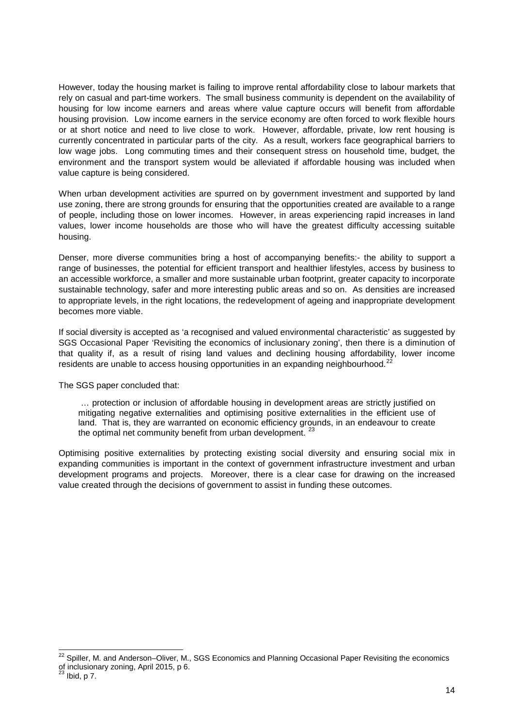However, today the housing market is failing to improve rental affordability close to labour markets that rely on casual and part-time workers. The small business community is dependent on the availability of housing for low income earners and areas where value capture occurs will benefit from affordable housing provision. Low income earners in the service economy are often forced to work flexible hours or at short notice and need to live close to work. However, affordable, private, low rent housing is currently concentrated in particular parts of the city. As a result, workers face geographical barriers to low wage jobs. Long commuting times and their consequent stress on household time, budget, the environment and the transport system would be alleviated if affordable housing was included when value capture is being considered.

When urban development activities are spurred on by government investment and supported by land use zoning, there are strong grounds for ensuring that the opportunities created are available to a range of people, including those on lower incomes. However, in areas experiencing rapid increases in land values, lower income households are those who will have the greatest difficulty accessing suitable housing.

Denser, more diverse communities bring a host of accompanying benefits:- the ability to support a range of businesses, the potential for efficient transport and healthier lifestyles, access by business to an accessible workforce, a smaller and more sustainable urban footprint, greater capacity to incorporate sustainable technology, safer and more interesting public areas and so on. As densities are increased to appropriate levels, in the right locations, the redevelopment of ageing and inappropriate development becomes more viable.

If social diversity is accepted as 'a recognised and valued environmental characteristic' as suggested by SGS Occasional Paper 'Revisiting the economics of inclusionary zoning', then there is a diminution of that quality if, as a result of rising land values and declining housing affordability, lower income residents are unable to access housing opportunities in an expanding neighbourhood.<sup>[22](#page-14-0)</sup>

The SGS paper concluded that:

… protection or inclusion of affordable housing in development areas are strictly justified on mitigating negative externalities and optimising positive externalities in the efficient use of land. That is, they are warranted on economic efficiency grounds, in an endeavour to create the optimal net community benefit from urban development.  $\dot{a}$ 

Optimising positive externalities by protecting existing social diversity and ensuring social mix in expanding communities is important in the context of government infrastructure investment and urban development programs and projects. Moreover, there is a clear case for drawing on the increased value created through the decisions of government to assist in funding these outcomes.

<span id="page-14-0"></span><sup>&</sup>lt;sup>22</sup> Spiller, M. and Anderson–Oliver, M., SGS Economics and Planning Occasional Paper Revisiting the economics of inclusionary zoning, April 2015, p 6.

<span id="page-14-1"></span> $^{23}$  Ibid, p 7.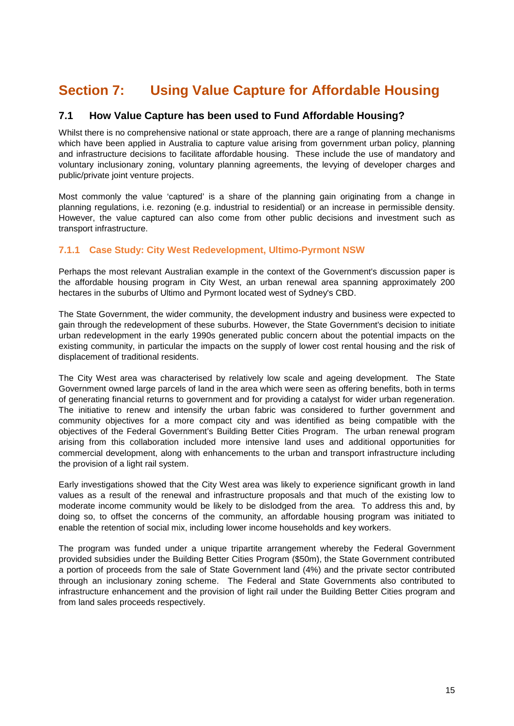# <span id="page-15-0"></span>**Section 7: Using Value Capture for Affordable Housing**

# <span id="page-15-1"></span>**7.1 How Value Capture has been used to Fund Affordable Housing?**

Whilst there is no comprehensive national or state approach, there are a range of planning mechanisms which have been applied in Australia to capture value arising from government urban policy, planning and infrastructure decisions to facilitate affordable housing. These include the use of mandatory and voluntary inclusionary zoning, voluntary planning agreements, the levying of developer charges and public/private joint venture projects.

Most commonly the value 'captured' is a share of the planning gain originating from a change in planning regulations, i.e. rezoning (e.g. industrial to residential) or an increase in permissible density. However, the value captured can also come from other public decisions and investment such as transport infrastructure.

# <span id="page-15-2"></span>**7.1.1 Case Study: City West Redevelopment, Ultimo-Pyrmont NSW**

Perhaps the most relevant Australian example in the context of the Government's discussion paper is the affordable housing program in City West, an urban renewal area spanning approximately 200 hectares in the suburbs of Ultimo and Pyrmont located west of Sydney's CBD.

The State Government, the wider community, the development industry and business were expected to gain through the redevelopment of these suburbs. However, the State Government's decision to initiate urban redevelopment in the early 1990s generated public concern about the potential impacts on the existing community, in particular the impacts on the supply of lower cost rental housing and the risk of displacement of traditional residents.

The City West area was characterised by relatively low scale and ageing development. The State Government owned large parcels of land in the area which were seen as offering benefits, both in terms of generating financial returns to government and for providing a catalyst for wider urban regeneration. The initiative to renew and intensify the urban fabric was considered to further government and community objectives for a more compact city and was identified as being compatible with the objectives of the Federal Government's Building Better Cities Program. The urban renewal program arising from this collaboration included more intensive land uses and additional opportunities for commercial development, along with enhancements to the urban and transport infrastructure including the provision of a light rail system.

Early investigations showed that the City West area was likely to experience significant growth in land values as a result of the renewal and infrastructure proposals and that much of the existing low to moderate income community would be likely to be dislodged from the area. To address this and, by doing so, to offset the concerns of the community, an affordable housing program was initiated to enable the retention of social mix, including lower income households and key workers.

The program was funded under a unique tripartite arrangement whereby the Federal Government provided subsidies under the Building Better Cities Program (\$50m), the State Government contributed a portion of proceeds from the sale of State Government land (4%) and the private sector contributed through an inclusionary zoning scheme. The Federal and State Governments also contributed to infrastructure enhancement and the provision of light rail under the Building Better Cities program and from land sales proceeds respectively.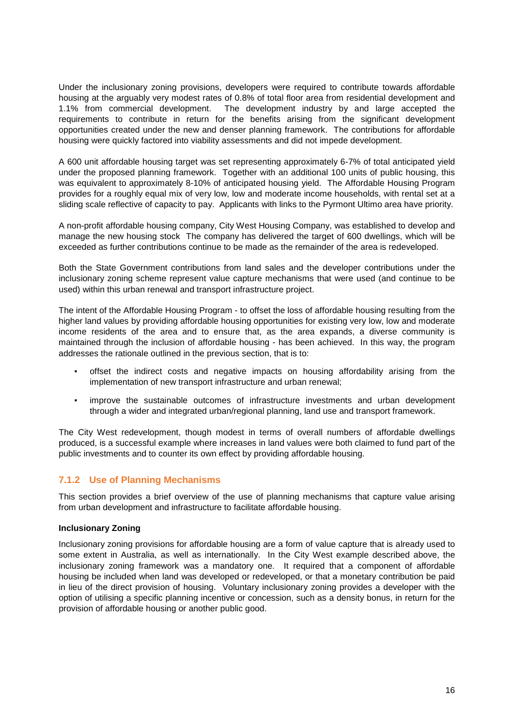Under the inclusionary zoning provisions, developers were required to contribute towards affordable housing at the arguably very modest rates of 0.8% of total floor area from residential development and 1.1% from commercial development. The development industry by and large accepted the requirements to contribute in return for the benefits arising from the significant development opportunities created under the new and denser planning framework. The contributions for affordable housing were quickly factored into viability assessments and did not impede development.

A 600 unit affordable housing target was set representing approximately 6-7% of total anticipated yield under the proposed planning framework. Together with an additional 100 units of public housing, this was equivalent to approximately 8-10% of anticipated housing yield. The Affordable Housing Program provides for a roughly equal mix of very low, low and moderate income households, with rental set at a sliding scale reflective of capacity to pay. Applicants with links to the Pyrmont Ultimo area have priority.

A non-profit affordable housing company, City West Housing Company, was established to develop and manage the new housing stock The company has delivered the target of 600 dwellings, which will be exceeded as further contributions continue to be made as the remainder of the area is redeveloped.

Both the State Government contributions from land sales and the developer contributions under the inclusionary zoning scheme represent value capture mechanisms that were used (and continue to be used) within this urban renewal and transport infrastructure project.

The intent of the Affordable Housing Program - to offset the loss of affordable housing resulting from the higher land values by providing affordable housing opportunities for existing very low, low and moderate income residents of the area and to ensure that, as the area expands, a diverse community is maintained through the inclusion of affordable housing - has been achieved. In this way, the program addresses the rationale outlined in the previous section, that is to:

- offset the indirect costs and negative impacts on housing affordability arising from the implementation of new transport infrastructure and urban renewal;
- improve the sustainable outcomes of infrastructure investments and urban development through a wider and integrated urban/regional planning, land use and transport framework.

The City West redevelopment, though modest in terms of overall numbers of affordable dwellings produced, is a successful example where increases in land values were both claimed to fund part of the public investments and to counter its own effect by providing affordable housing.

# <span id="page-16-0"></span>**7.1.2 Use of Planning Mechanisms**

This section provides a brief overview of the use of planning mechanisms that capture value arising from urban development and infrastructure to facilitate affordable housing.

#### **Inclusionary Zoning**

Inclusionary zoning provisions for affordable housing are a form of value capture that is already used to some extent in Australia, as well as internationally. In the City West example described above, the inclusionary zoning framework was a mandatory one. It required that a component of affordable housing be included when land was developed or redeveloped, or that a monetary contribution be paid in lieu of the direct provision of housing. Voluntary inclusionary zoning provides a developer with the option of utilising a specific planning incentive or concession, such as a density bonus, in return for the provision of affordable housing or another public good.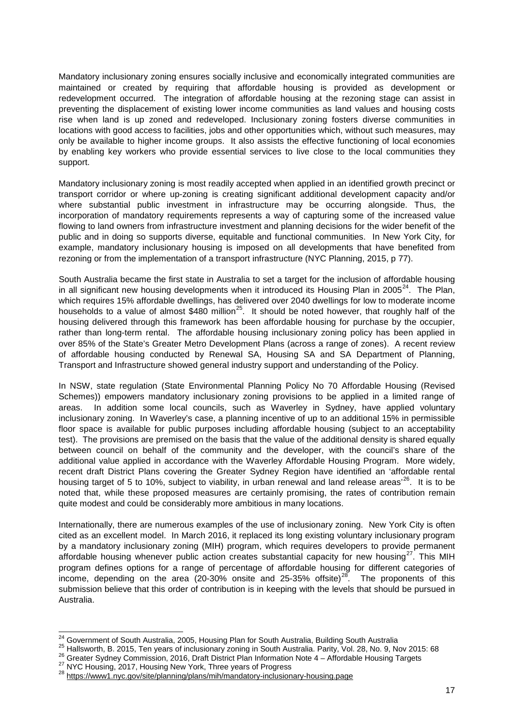Mandatory inclusionary zoning ensures socially inclusive and economically integrated communities are maintained or created by requiring that affordable housing is provided as development or redevelopment occurred. The integration of affordable housing at the rezoning stage can assist in preventing the displacement of existing lower income communities as land values and housing costs rise when land is up zoned and redeveloped. Inclusionary zoning fosters diverse communities in locations with good access to facilities, jobs and other opportunities which, without such measures, may only be available to higher income groups. It also assists the effective functioning of local economies by enabling key workers who provide essential services to live close to the local communities they support.

Mandatory inclusionary zoning is most readily accepted when applied in an identified growth precinct or transport corridor or where up-zoning is creating significant additional development capacity and/or where substantial public investment in infrastructure may be occurring alongside. Thus, the incorporation of mandatory requirements represents a way of capturing some of the increased value flowing to land owners from infrastructure investment and planning decisions for the wider benefit of the public and in doing so supports diverse, equitable and functional communities. In New York City, for example, mandatory inclusionary housing is imposed on all developments that have benefited from rezoning or from the implementation of a transport infrastructure (NYC Planning, 2015, p 77).

South Australia became the first state in Australia to set a target for the inclusion of affordable housing in all significant new housing developments when it introduced its Housing Plan in 2005<sup>24</sup>. The Plan, which requires 15% affordable dwellings, has delivered over 2040 dwellings for low to moderate income households to a value of almost  $$480$  million<sup>25</sup>. It should be noted however, that roughly half of the housing delivered through this framework has been affordable housing for purchase by the occupier, rather than long-term rental. The affordable housing inclusionary zoning policy has been applied in over 85% of the State's Greater Metro Development Plans (across a range of zones). A recent review of affordable housing conducted by Renewal SA, Housing SA and SA Department of Planning, Transport and Infrastructure showed general industry support and understanding of the Policy.

In NSW, state regulation (State Environmental Planning Policy No 70 Affordable Housing (Revised Schemes)) empowers mandatory inclusionary zoning provisions to be applied in a limited range of areas. In addition some local councils, such as Waverley in Sydney, have applied voluntary inclusionary zoning. In Waverley's case, a planning incentive of up to an additional 15% in permissible floor space is available for public purposes including affordable housing (subject to an acceptability test). The provisions are premised on the basis that the value of the additional density is shared equally between council on behalf of the community and the developer, with the council's share of the additional value applied in accordance with the Waverley Affordable Housing Program. More widely, recent draft District Plans covering the Greater Sydney Region have identified an 'affordable rental housing target of 5 to 10%, subject to viability, in urban renewal and land release areas<sup>'[26](#page-17-2)</sup>. It is to be noted that, while these proposed measures are certainly promising, the rates of contribution remain quite modest and could be considerably more ambitious in many locations.

Internationally, there are numerous examples of the use of inclusionary zoning. New York City is often cited as an excellent model. In March 2016, it replaced its long existing voluntary inclusionary program by a mandatory inclusionary zoning (MIH) program, which requires developers to provide permanent affordable housing whenever public action creates substantial capacity for new housing<sup>[27](#page-17-3)</sup>. This MIH program defines options for a range of percentage of affordable housing for different categories of income, depending on the area (20-30% onsite and 25-35% offsite)<sup>28</sup>. The proponents of this submission believe that this order of contribution is in keeping with the levels that should be pursued in Australia.

<span id="page-17-1"></span><span id="page-17-0"></span><sup>&</sup>lt;sup>24</sup> Government of South Australia, 2005, Housing Plan for South Australia, Building South Australia<br>
<sup>25</sup> Hallsworth, B. 2015, Ten years of inclusionary zoning in South Australia. Parity, Vol. 28, No. 9, Nov 2015: 68<br>
<sup>2</sup>

<span id="page-17-3"></span><span id="page-17-2"></span>

<span id="page-17-4"></span>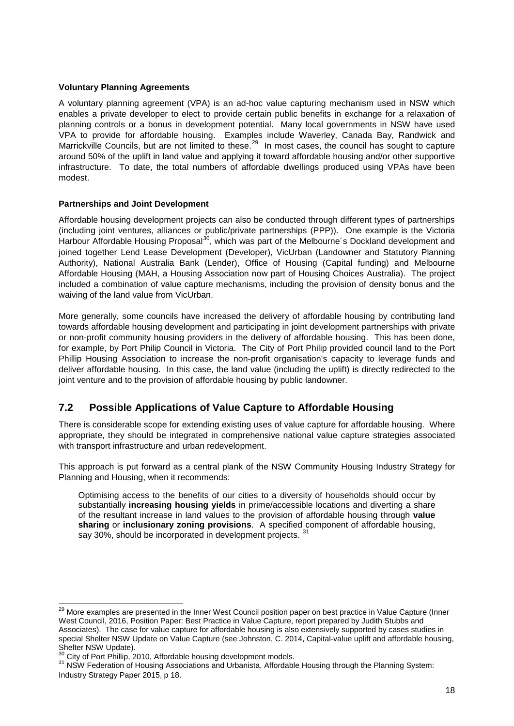#### **Voluntary Planning Agreements**

A voluntary planning agreement (VPA) is an ad-hoc value capturing mechanism used in NSW which enables a private developer to elect to provide certain public benefits in exchange for a relaxation of planning controls or a bonus in development potential. Many local governments in NSW have used VPA to provide for affordable housing. Examples include Waverley, Canada Bay, Randwick and Marrickville Councils, but are not limited to these.<sup>[29](#page-18-1)</sup> In most cases, the council has sought to capture around 50% of the uplift in land value and applying it toward affordable housing and/or other supportive infrastructure. To date, the total numbers of affordable dwellings produced using VPAs have been modest.

### **Partnerships and Joint Development**

Affordable housing development projects can also be conducted through different types of partnerships (including joint ventures, alliances or public/private partnerships (PPP)). One example is the Victoria Harbour Affordable Housing Proposal<sup>30</sup>, which was part of the Melbourne's Dockland development and joined together Lend Lease Development (Developer), VicUrban (Landowner and Statutory Planning Authority), National Australia Bank (Lender), Office of Housing (Capital funding) and Melbourne Affordable Housing (MAH, a Housing Association now part of Housing Choices Australia). The project included a combination of value capture mechanisms, including the provision of density bonus and the waiving of the land value from VicUrban.

More generally, some councils have increased the delivery of affordable housing by contributing land towards affordable housing development and participating in joint development partnerships with private or non-profit community housing providers in the delivery of affordable housing. This has been done, for example, by Port Philip Council in Victoria. The City of Port Philip provided council land to the Port Phillip Housing Association to increase the non-profit organisation's capacity to leverage funds and deliver affordable housing. In this case, the land value (including the uplift) is directly redirected to the joint venture and to the provision of affordable housing by public landowner.

# <span id="page-18-0"></span>**7.2 Possible Applications of Value Capture to Affordable Housing**

There is considerable scope for extending existing uses of value capture for affordable housing. Where appropriate, they should be integrated in comprehensive national value capture strategies associated with transport infrastructure and urban redevelopment.

This approach is put forward as a central plank of the NSW Community Housing Industry Strategy for Planning and Housing, when it recommends:

Optimising access to the benefits of our cities to a diversity of households should occur by substantially **increasing housing yields** in prime/accessible locations and diverting a share of the resultant increase in land values to the provision of affordable housing through **value sharing** or **inclusionary zoning provisions**. A specified component of affordable housing, say 30%, should be incorporated in development projects. [31](#page-18-3)

<span id="page-18-1"></span><sup>&</sup>lt;sup>29</sup> More examples are presented in the Inner West Council position paper on best practice in Value Capture (Inner West Council, 2016, Position Paper: Best Practice in Value Capture, report prepared by Judith Stubbs and Associates). The case for value capture for affordable housing is also extensively supported by cases studies in special Shelter NSW Update on Value Capture (see Johnston, C. 2014, Capital-value uplift and affordable housing, Shelter NSW Update).<br>Shelter NSW Update).<br><sup>30</sup> City of Port Phillip. 2010. Affordable housing development models.

<span id="page-18-2"></span>

<span id="page-18-3"></span><sup>31</sup> NSW Federation of Housing Associations and Urbanista, Affordable Housing through the Planning System: Industry Strategy Paper 2015, p 18.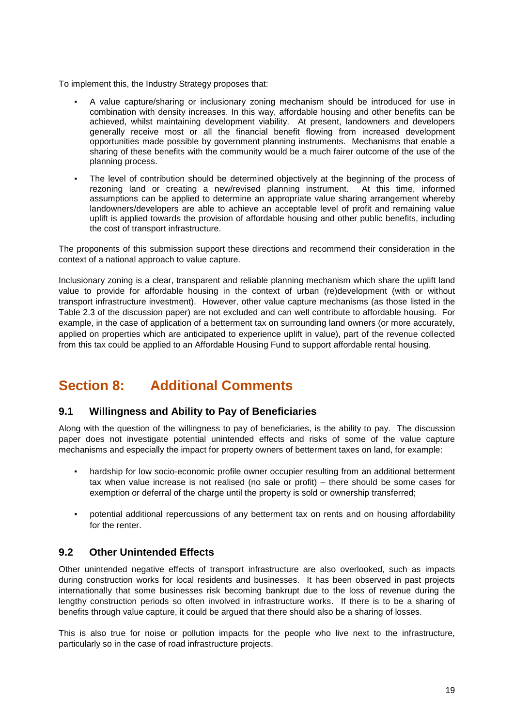To implement this, the Industry Strategy proposes that:

- A value capture/sharing or inclusionary zoning mechanism should be introduced for use in combination with density increases. In this way, affordable housing and other benefits can be achieved, whilst maintaining development viability. At present, landowners and developers generally receive most or all the financial benefit flowing from increased development opportunities made possible by government planning instruments. Mechanisms that enable a sharing of these benefits with the community would be a much fairer outcome of the use of the planning process.
- The level of contribution should be determined objectively at the beginning of the process of rezoning land or creating a new/revised planning instrument. At this time, informed assumptions can be applied to determine an appropriate value sharing arrangement whereby landowners/developers are able to achieve an acceptable level of profit and remaining value uplift is applied towards the provision of affordable housing and other public benefits, including the cost of transport infrastructure.

The proponents of this submission support these directions and recommend their consideration in the context of a national approach to value capture.

Inclusionary zoning is a clear, transparent and reliable planning mechanism which share the uplift land value to provide for affordable housing in the context of urban (re)development (with or without transport infrastructure investment). However, other value capture mechanisms (as those listed in the Table 2.3 of the discussion paper) are not excluded and can well contribute to affordable housing. For example, in the case of application of a betterment tax on surrounding land owners (or more accurately, applied on properties which are anticipated to experience uplift in value), part of the revenue collected from this tax could be applied to an Affordable Housing Fund to support affordable rental housing.

# <span id="page-19-0"></span>**Section 8: Additional Comments**

# <span id="page-19-1"></span>**9.1 Willingness and Ability to Pay of Beneficiaries**

Along with the question of the willingness to pay of beneficiaries, is the ability to pay. The discussion paper does not investigate potential unintended effects and risks of some of the value capture mechanisms and especially the impact for property owners of betterment taxes on land, for example:

- hardship for low socio-economic profile owner occupier resulting from an additional betterment tax when value increase is not realised (no sale or profit) – there should be some cases for exemption or deferral of the charge until the property is sold or ownership transferred;
- potential additional repercussions of any betterment tax on rents and on housing affordability for the renter.

# <span id="page-19-2"></span>**9.2 Other Unintended Effects**

Other unintended negative effects of transport infrastructure are also overlooked, such as impacts during construction works for local residents and businesses. It has been observed in past projects internationally that some businesses risk becoming bankrupt due to the loss of revenue during the lengthy construction periods so often involved in infrastructure works. If there is to be a sharing of benefits through value capture, it could be argued that there should also be a sharing of losses.

This is also true for noise or pollution impacts for the people who live next to the infrastructure, particularly so in the case of road infrastructure projects.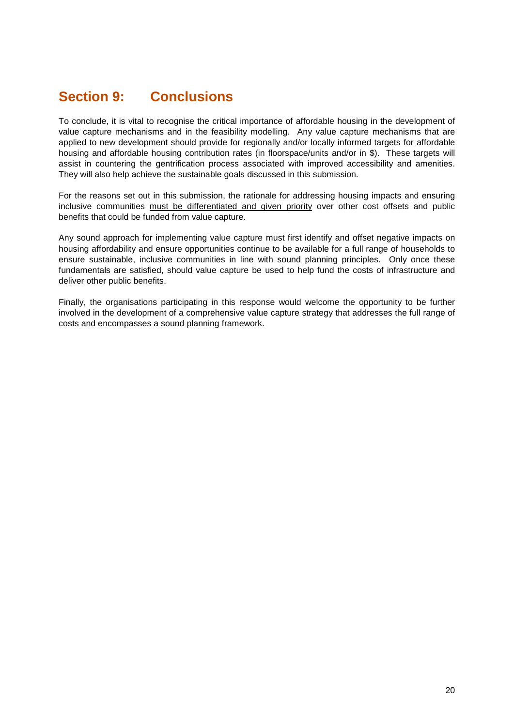# <span id="page-20-0"></span>**Section 9: Conclusions**

To conclude, it is vital to recognise the critical importance of affordable housing in the development of value capture mechanisms and in the feasibility modelling. Any value capture mechanisms that are applied to new development should provide for regionally and/or locally informed targets for affordable housing and affordable housing contribution rates (in floorspace/units and/or in \$). These targets will assist in countering the gentrification process associated with improved accessibility and amenities. They will also help achieve the sustainable goals discussed in this submission.

For the reasons set out in this submission, the rationale for addressing housing impacts and ensuring inclusive communities must be differentiated and given priority over other cost offsets and public benefits that could be funded from value capture.

Any sound approach for implementing value capture must first identify and offset negative impacts on housing affordability and ensure opportunities continue to be available for a full range of households to ensure sustainable, inclusive communities in line with sound planning principles. Only once these fundamentals are satisfied, should value capture be used to help fund the costs of infrastructure and deliver other public benefits.

Finally, the organisations participating in this response would welcome the opportunity to be further involved in the development of a comprehensive value capture strategy that addresses the full range of costs and encompasses a sound planning framework.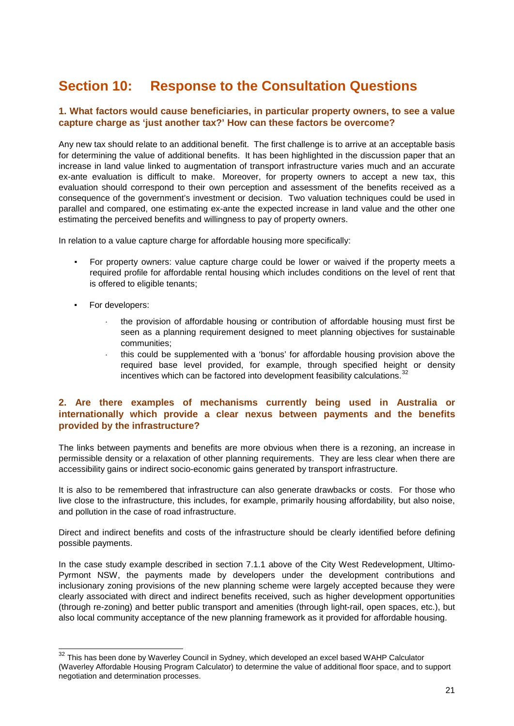# <span id="page-21-0"></span>**Section 10: Response to the Consultation Questions**

### **1. What factors would cause beneficiaries, in particular property owners, to see a value capture charge as 'just another tax?' How can these factors be overcome?**

Any new tax should relate to an additional benefit. The first challenge is to arrive at an acceptable basis for determining the value of additional benefits. It has been highlighted in the discussion paper that an increase in land value linked to augmentation of transport infrastructure varies much and an accurate ex-ante evaluation is difficult to make. Moreover, for property owners to accept a new tax, this evaluation should correspond to their own perception and assessment of the benefits received as a consequence of the government's investment or decision. Two valuation techniques could be used in parallel and compared, one estimating ex-ante the expected increase in land value and the other one estimating the perceived benefits and willingness to pay of property owners.

In relation to a value capture charge for affordable housing more specifically:

- For property owners: value capture charge could be lower or waived if the property meets a required profile for affordable rental housing which includes conditions on the level of rent that is offered to eligible tenants;
- For developers:
	- the provision of affordable housing or contribution of affordable housing must first be seen as a planning requirement designed to meet planning objectives for sustainable communities;
	- ⋅ this could be supplemented with a 'bonus' for affordable housing provision above the required base level provided, for example, through specified height or density incentives which can be factored into development feasibility calculations. $32$

### **2. Are there examples of mechanisms currently being used in Australia or internationally which provide a clear nexus between payments and the benefits provided by the infrastructure?**

The links between payments and benefits are more obvious when there is a rezoning, an increase in permissible density or a relaxation of other planning requirements. They are less clear when there are accessibility gains or indirect socio-economic gains generated by transport infrastructure.

It is also to be remembered that infrastructure can also generate drawbacks or costs. For those who live close to the infrastructure, this includes, for example, primarily housing affordability, but also noise, and pollution in the case of road infrastructure.

Direct and indirect benefits and costs of the infrastructure should be clearly identified before defining possible payments.

In the case study example described in section 7.1.1 above of the City West Redevelopment, Ultimo-Pyrmont NSW, the payments made by developers under the development contributions and inclusionary zoning provisions of the new planning scheme were largely accepted because they were clearly associated with direct and indirect benefits received, such as higher development opportunities (through re-zoning) and better public transport and amenities (through light-rail, open spaces, etc.), but also local community acceptance of the new planning framework as it provided for affordable housing.

<span id="page-21-1"></span> $32$  This has been done by Waverley Council in Sydney, which developed an excel based WAHP Calculator (Waverley Affordable Housing Program Calculator) to determine the value of additional floor space, and to support negotiation and determination processes.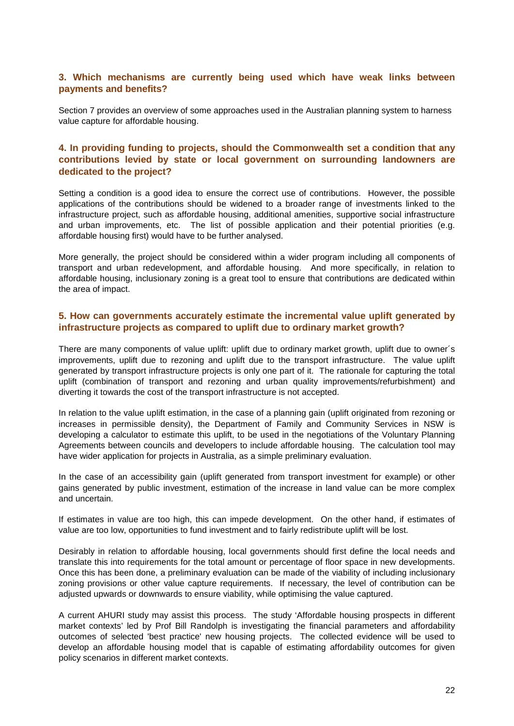### **3. Which mechanisms are currently being used which have weak links between payments and benefits?**

Section 7 provides an overview of some approaches used in the Australian planning system to harness value capture for affordable housing.

# **4. In providing funding to projects, should the Commonwealth set a condition that any contributions levied by state or local government on surrounding landowners are dedicated to the project?**

Setting a condition is a good idea to ensure the correct use of contributions. However, the possible applications of the contributions should be widened to a broader range of investments linked to the infrastructure project, such as affordable housing, additional amenities, supportive social infrastructure and urban improvements, etc. The list of possible application and their potential priorities (e.g. affordable housing first) would have to be further analysed.

More generally, the project should be considered within a wider program including all components of transport and urban redevelopment, and affordable housing. And more specifically, in relation to affordable housing, inclusionary zoning is a great tool to ensure that contributions are dedicated within the area of impact.

### **5. How can governments accurately estimate the incremental value uplift generated by infrastructure projects as compared to uplift due to ordinary market growth?**

There are many components of value uplift: uplift due to ordinary market growth, uplift due to owner´s improvements, uplift due to rezoning and uplift due to the transport infrastructure. The value uplift generated by transport infrastructure projects is only one part of it. The rationale for capturing the total uplift (combination of transport and rezoning and urban quality improvements/refurbishment) and diverting it towards the cost of the transport infrastructure is not accepted.

In relation to the value uplift estimation, in the case of a planning gain (uplift originated from rezoning or increases in permissible density), the Department of Family and Community Services in NSW is developing a calculator to estimate this uplift, to be used in the negotiations of the Voluntary Planning Agreements between councils and developers to include affordable housing. The calculation tool may have wider application for projects in Australia, as a simple preliminary evaluation.

In the case of an accessibility gain (uplift generated from transport investment for example) or other gains generated by public investment, estimation of the increase in land value can be more complex and uncertain.

If estimates in value are too high, this can impede development. On the other hand, if estimates of value are too low, opportunities to fund investment and to fairly redistribute uplift will be lost.

Desirably in relation to affordable housing, local governments should first define the local needs and translate this into requirements for the total amount or percentage of floor space in new developments. Once this has been done, a preliminary evaluation can be made of the viability of including inclusionary zoning provisions or other value capture requirements. If necessary, the level of contribution can be adjusted upwards or downwards to ensure viability, while optimising the value captured.

A current AHURI study may assist this process. The study 'Affordable housing prospects in different market contexts' led by Prof Bill Randolph is investigating the financial parameters and affordability outcomes of selected 'best practice' new housing projects. The collected evidence will be used to develop an affordable housing model that is capable of estimating affordability outcomes for given policy scenarios in different market contexts.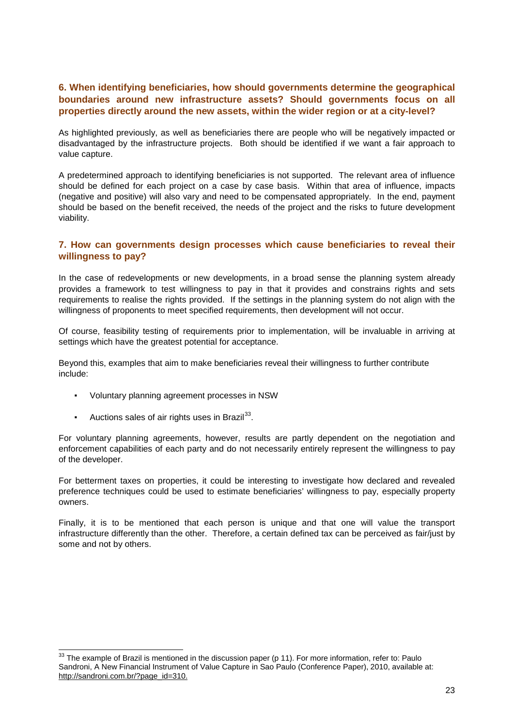### **6. When identifying beneficiaries, how should governments determine the geographical boundaries around new infrastructure assets? Should governments focus on all properties directly around the new assets, within the wider region or at a city-level?**

As highlighted previously, as well as beneficiaries there are people who will be negatively impacted or disadvantaged by the infrastructure projects. Both should be identified if we want a fair approach to value capture.

A predetermined approach to identifying beneficiaries is not supported. The relevant area of influence should be defined for each project on a case by case basis. Within that area of influence, impacts (negative and positive) will also vary and need to be compensated appropriately. In the end, payment should be based on the benefit received, the needs of the project and the risks to future development viability.

### **7. How can governments design processes which cause beneficiaries to reveal their willingness to pay?**

In the case of redevelopments or new developments, in a broad sense the planning system already provides a framework to test willingness to pay in that it provides and constrains rights and sets requirements to realise the rights provided. If the settings in the planning system do not align with the willingness of proponents to meet specified requirements, then development will not occur.

Of course, feasibility testing of requirements prior to implementation, will be invaluable in arriving at settings which have the greatest potential for acceptance.

Beyond this, examples that aim to make beneficiaries reveal their willingness to further contribute include:

- Voluntary planning agreement processes in NSW
- **•** Auctions sales of air rights uses in Brazil $^{33}$ .

For voluntary planning agreements, however, results are partly dependent on the negotiation and enforcement capabilities of each party and do not necessarily entirely represent the willingness to pay of the developer.

For betterment taxes on properties, it could be interesting to investigate how declared and revealed preference techniques could be used to estimate beneficiaries' willingness to pay, especially property owners.

Finally, it is to be mentioned that each person is unique and that one will value the transport infrastructure differently than the other. Therefore, a certain defined tax can be perceived as fair/just by some and not by others.

<span id="page-23-0"></span><sup>&</sup>lt;sup>33</sup> The example of Brazil is mentioned in the discussion paper (p 11). For more information, refer to: Paulo Sandroni, A New Financial Instrument of Value Capture in Sao Paulo (Conference Paper), 2010, available at: [http://sandroni.com.br/?page\\_id=310.](http://sandroni.com.br/?page_id=310)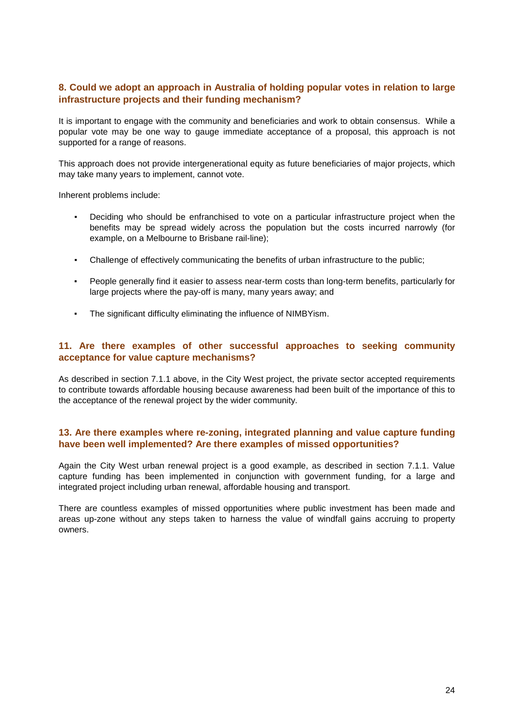### **8. Could we adopt an approach in Australia of holding popular votes in relation to large infrastructure projects and their funding mechanism?**

It is important to engage with the community and beneficiaries and work to obtain consensus. While a popular vote may be one way to gauge immediate acceptance of a proposal, this approach is not supported for a range of reasons.

This approach does not provide intergenerational equity as future beneficiaries of major projects, which may take many years to implement, cannot vote.

Inherent problems include:

- Deciding who should be enfranchised to vote on a particular infrastructure project when the benefits may be spread widely across the population but the costs incurred narrowly (for example, on a Melbourne to Brisbane rail-line);
- Challenge of effectively communicating the benefits of urban infrastructure to the public;
- People generally find it easier to assess near-term costs than long-term benefits, particularly for large projects where the pay-off is many, many years away; and
- The significant difficulty eliminating the influence of NIMBYism.

### **11. Are there examples of other successful approaches to seeking community acceptance for value capture mechanisms?**

As described in section 7.1.1 above, in the City West project, the private sector accepted requirements to contribute towards affordable housing because awareness had been built of the importance of this to the acceptance of the renewal project by the wider community.

### **13. Are there examples where re-zoning, integrated planning and value capture funding have been well implemented? Are there examples of missed opportunities?**

Again the City West urban renewal project is a good example, as described in section 7.1.1. Value capture funding has been implemented in conjunction with government funding, for a large and integrated project including urban renewal, affordable housing and transport.

There are countless examples of missed opportunities where public investment has been made and areas up-zone without any steps taken to harness the value of windfall gains accruing to property owners.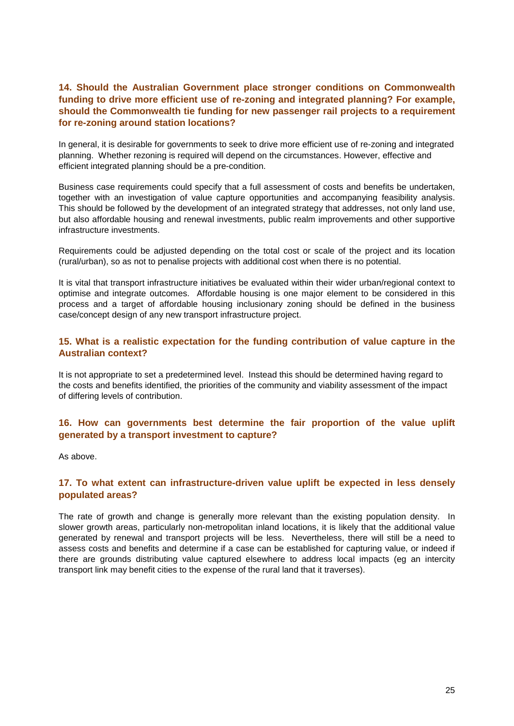### **14. Should the Australian Government place stronger conditions on Commonwealth funding to drive more efficient use of re-zoning and integrated planning? For example, should the Commonwealth tie funding for new passenger rail projects to a requirement for re-zoning around station locations?**

In general, it is desirable for governments to seek to drive more efficient use of re-zoning and integrated planning. Whether rezoning is required will depend on the circumstances. However, effective and efficient integrated planning should be a pre-condition.

Business case requirements could specify that a full assessment of costs and benefits be undertaken, together with an investigation of value capture opportunities and accompanying feasibility analysis. This should be followed by the development of an integrated strategy that addresses, not only land use, but also affordable housing and renewal investments, public realm improvements and other supportive infrastructure investments.

Requirements could be adjusted depending on the total cost or scale of the project and its location (rural/urban), so as not to penalise projects with additional cost when there is no potential.

It is vital that transport infrastructure initiatives be evaluated within their wider urban/regional context to optimise and integrate outcomes. Affordable housing is one major element to be considered in this process and a target of affordable housing inclusionary zoning should be defined in the business case/concept design of any new transport infrastructure project.

### **15. What is a realistic expectation for the funding contribution of value capture in the Australian context?**

It is not appropriate to set a predetermined level. Instead this should be determined having regard to the costs and benefits identified, the priorities of the community and viability assessment of the impact of differing levels of contribution.

# **16. How can governments best determine the fair proportion of the value uplift generated by a transport investment to capture?**

As above.

### **17. To what extent can infrastructure-driven value uplift be expected in less densely populated areas?**

The rate of growth and change is generally more relevant than the existing population density. In slower growth areas, particularly non-metropolitan inland locations, it is likely that the additional value generated by renewal and transport projects will be less. Nevertheless, there will still be a need to assess costs and benefits and determine if a case can be established for capturing value, or indeed if there are grounds distributing value captured elsewhere to address local impacts (eg an intercity transport link may benefit cities to the expense of the rural land that it traverses).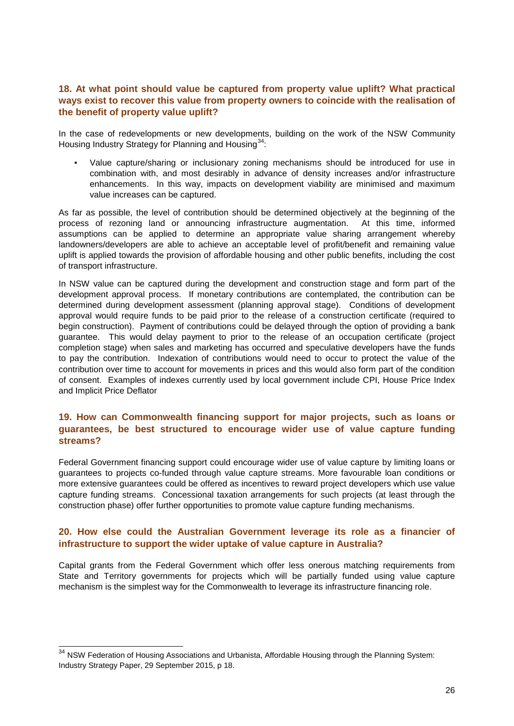## **18. At what point should value be captured from property value uplift? What practical ways exist to recover this value from property owners to coincide with the realisation of the benefit of property value uplift?**

In the case of redevelopments or new developments, building on the work of the NSW Community Housing Industry Strategy for Planning and Housing<sup>34</sup>:

Value capture/sharing or inclusionary zoning mechanisms should be introduced for use in combination with, and most desirably in advance of density increases and/or infrastructure enhancements. In this way, impacts on development viability are minimised and maximum value increases can be captured.

As far as possible, the level of contribution should be determined objectively at the beginning of the process of rezoning land or announcing infrastructure augmentation. At this time, informed assumptions can be applied to determine an appropriate value sharing arrangement whereby landowners/developers are able to achieve an acceptable level of profit/benefit and remaining value uplift is applied towards the provision of affordable housing and other public benefits, including the cost of transport infrastructure.

In NSW value can be captured during the development and construction stage and form part of the development approval process. If monetary contributions are contemplated, the contribution can be determined during development assessment (planning approval stage). Conditions of development approval would require funds to be paid prior to the release of a construction certificate (required to begin construction). Payment of contributions could be delayed through the option of providing a bank guarantee. This would delay payment to prior to the release of an occupation certificate (project completion stage) when sales and marketing has occurred and speculative developers have the funds to pay the contribution. Indexation of contributions would need to occur to protect the value of the contribution over time to account for movements in prices and this would also form part of the condition of consent. Examples of indexes currently used by local government include CPI, House Price Index and Implicit Price Deflator

# **19. How can Commonwealth financing support for major projects, such as loans or guarantees, be best structured to encourage wider use of value capture funding streams?**

Federal Government financing support could encourage wider use of value capture by limiting loans or guarantees to projects co-funded through value capture streams. More favourable loan conditions or more extensive guarantees could be offered as incentives to reward project developers which use value capture funding streams. Concessional taxation arrangements for such projects (at least through the construction phase) offer further opportunities to promote value capture funding mechanisms.

### **20. How else could the Australian Government leverage its role as a financier of infrastructure to support the wider uptake of value capture in Australia?**

Capital grants from the Federal Government which offer less onerous matching requirements from State and Territory governments for projects which will be partially funded using value capture mechanism is the simplest way for the Commonwealth to leverage its infrastructure financing role.

<span id="page-26-0"></span><sup>&</sup>lt;sup>34</sup> NSW Federation of Housing Associations and Urbanista, Affordable Housing through the Planning System: Industry Strategy Paper, 29 September 2015, p 18.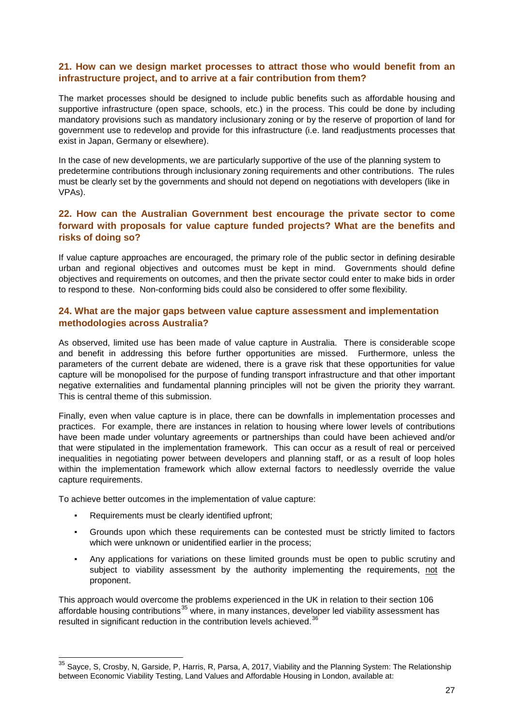### **21. How can we design market processes to attract those who would benefit from an infrastructure project, and to arrive at a fair contribution from them?**

The market processes should be designed to include public benefits such as affordable housing and supportive infrastructure (open space, schools, etc.) in the process. This could be done by including mandatory provisions such as mandatory inclusionary zoning or by the reserve of proportion of land for government use to redevelop and provide for this infrastructure (i.e. land readjustments processes that exist in Japan, Germany or elsewhere).

In the case of new developments, we are particularly supportive of the use of the planning system to predetermine contributions through inclusionary zoning requirements and other contributions. The rules must be clearly set by the governments and should not depend on negotiations with developers (like in VPAs).

## **22. How can the Australian Government best encourage the private sector to come forward with proposals for value capture funded projects? What are the benefits and risks of doing so?**

If value capture approaches are encouraged, the primary role of the public sector in defining desirable urban and regional objectives and outcomes must be kept in mind. Governments should define objectives and requirements on outcomes, and then the private sector could enter to make bids in order to respond to these. Non-conforming bids could also be considered to offer some flexibility.

# **24. What are the major gaps between value capture assessment and implementation methodologies across Australia?**

As observed, limited use has been made of value capture in Australia. There is considerable scope and benefit in addressing this before further opportunities are missed. Furthermore, unless the parameters of the current debate are widened, there is a grave risk that these opportunities for value capture will be monopolised for the purpose of funding transport infrastructure and that other important negative externalities and fundamental planning principles will not be given the priority they warrant. This is central theme of this submission.

Finally, even when value capture is in place, there can be downfalls in implementation processes and practices. For example, there are instances in relation to housing where lower levels of contributions have been made under voluntary agreements or partnerships than could have been achieved and/or that were stipulated in the implementation framework. This can occur as a result of real or perceived inequalities in negotiating power between developers and planning staff, or as a result of loop holes within the implementation framework which allow external factors to needlessly override the value capture requirements.

To achieve better outcomes in the implementation of value capture:

- Requirements must be clearly identified upfront;
- Grounds upon which these requirements can be contested must be strictly limited to factors which were unknown or unidentified earlier in the process:
- Any applications for variations on these limited grounds must be open to public scrutiny and subject to viability assessment by the authority implementing the requirements, not the proponent.

This approach would overcome the problems experienced in the UK in relation to their section 106 affordable housing contributions<sup>[35](#page-27-0)</sup> where, in many instances, developer led viability assessment has resulted in significant reduction in the contribution levels achieved.<sup>36</sup>

<span id="page-27-1"></span><span id="page-27-0"></span> $35$  Sayce, S, Crosby, N, Garside, P, Harris, R, Parsa, A, 2017, Viability and the Planning System: The Relationship between Economic Viability Testing, Land Values and Affordable Housing in London, available at: